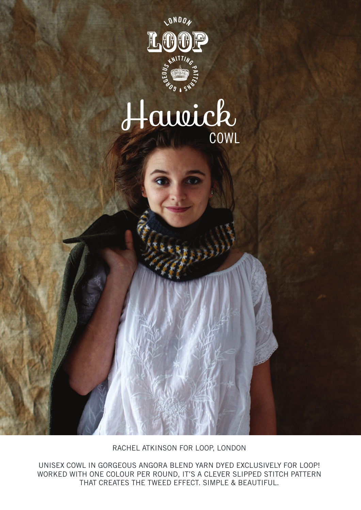

# Hawick COWL

RACHEL ATKINSON FOR LOOP, LONDON

UNISEX COWL IN GORGEOUS ANGORA BLEND YARN DYED EXCLUSIVELY FOR LOOP! WORKED WITH ONE COLOUR PER ROUND, IT'S A CLEVER SLIPPED STITCH PATTERN THAT CREATES THE TWEED EFFECT. SIMPLE & BEAUTIFUL.